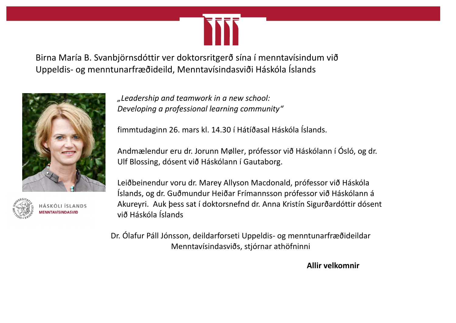

Birna María B. Svanbjörnsdóttir ver doktorsritgerð sína í menntavísindum við Uppeldis- og menntunarfræðideild, Menntavísindasviði Háskóla Íslands





SKÓLI ÍSLANDS **NTAVÍSINDASVIE** 

*"Leadership and teamwork in a new school: Developing a professional learning community"*

fimmtudaginn 26. mars kl. 14.30 í Hátíðasal Háskóla Íslands.

Andmælendur eru dr. Jorunn Møller, prófessor við Háskólann í Ósló, og dr. Ulf Blossing, dósent við Háskólann í Gautaborg.

Leiðbeinendur voru dr. Marey Allyson Macdonald, prófessor við Háskóla Íslands, og dr. Guðmundur Heiðar Frímannsson prófessor við Háskólann á Akureyri. Auk þess sat í doktorsnefnd dr. Anna Kristín Sigurðardóttir dósent við Háskóla Íslands

Dr. Ólafur Páll Jónsson, deildarforseti Uppeldis- og menntunarfræðideildar Menntavísindasviðs, stjórnar athöfninni

**Allir velkomnir**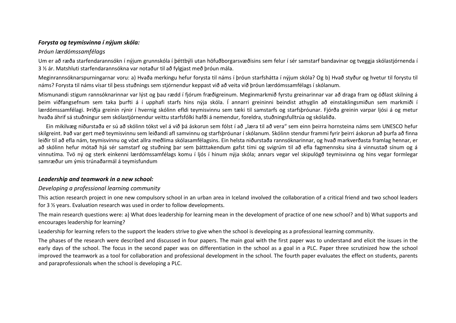#### *Forysta og teymisvinna í nýjum skóla:*

### *Þróun lærdómssamfélags*

Um er að ræða starfendarannsókn í nýjum grunnskóla í þéttbýli utan höfuðborgarsvæðisins sem felur í sér samstarf bandavinar og tveggja skólastjórnenda í 3 ½ ár. Matshluti starfendarannsókna var notaður til að fylgjast með þróun mála.

Meginrannsóknarspurningarnar voru: a) Hvaða merkingu hefur forysta til náms í þróun starfshátta í nýjum skóla? Og b) Hvað styður og hvetur til forystu til náms? Forysta til náms vísar til þess stuðnings sem stjórnendur keppast við að veita við þróun lærdómssamfélags í skólanum.

Mismunandi stigum rannsóknarinnar var lýst og þau rædd í fjórum fræðigreinum. Meginmarkmið fyrstu greinarinnar var að draga fram og öðlast skilning á þeim viðfangsefnum sem taka þurfti á í upphafi starfs hins nýja skóla. Í annarri greininni beindist athyglin að einstaklingsmiðun sem markmiði í lærdómssamfélagi. Þriðja greinin rýnir í hvernig skólinn efldi teymisvinnu sem tæki til samstarfs og starfsþróunar. Fjórða greinin varpar ljósi á og metur hvaða áhrif sá stuðningur sem skólastjórnendur veittu starfsfólki hafði á nemendur, foreldra, stuðningsfulltrúa og skólaliða.

Ein mikilvæg niðurstaða er sú að skólinn tókst vel á við þá áskorun sem fólst í að "læra til að vera" sem einn þeirra hornsteina náms sem UNESCO hefur skilgreint. Það var gert með teymisvinnu sem leiðandi afl samvinnu og starfsþróunar í skólanum. Skólinn stendur frammi fyrir þeirri áskorun að þurfa að finna leiðir til að efla nám, teymisvinnu og vöxt allra meðlima skólasamfélagsins. Ein helsta niðurstaða rannsóknarinnar, og hvað markverðasta framlag hennar, er að skólinn hefur mótað hjá sér samstarf og stuðning þar sem þátttakendum gafst tími og svigrúm til að efla fagmennsku sína á vinnustað sínum og á vinnutíma. Tvö ný og sterk einkenni lærdómssamfélags komu í ljós í hinum nýja skóla; annars vegar vel skipulögð teymisvinna og hins vegar formlegar samræður um ýmis trúnaðarmál á teymisfundum

# *Leadership and teamwork in a new school:*

# *Developing a professional learning community*

This action research project in one new compulsory school in an urban area in Iceland involved the collaboration of a critical friend and two school leaders for 3 ½ years. Evaluation research was used in order to follow developments.

The main research questions were: a) What does leadership for learning mean in the development of practice of one new school? and b) What supports and encourages leadership for learning?

Leadership for learning refers to the support the leaders strive to give when the school is developing as a professional learning community.

The phases of the research were described and discussed in four papers. The main goal with the first paper was to understand and elicit the issues in the early days of the school. The focus in the second paper was on differentiation in the school as a goal in a PLC. Paper three scrutinized how the school improved the teamwork as a tool for collaboration and professional development in the school. The fourth paper evaluates the effect on students, parents and paraprofessionals when the school is developing a PLC.